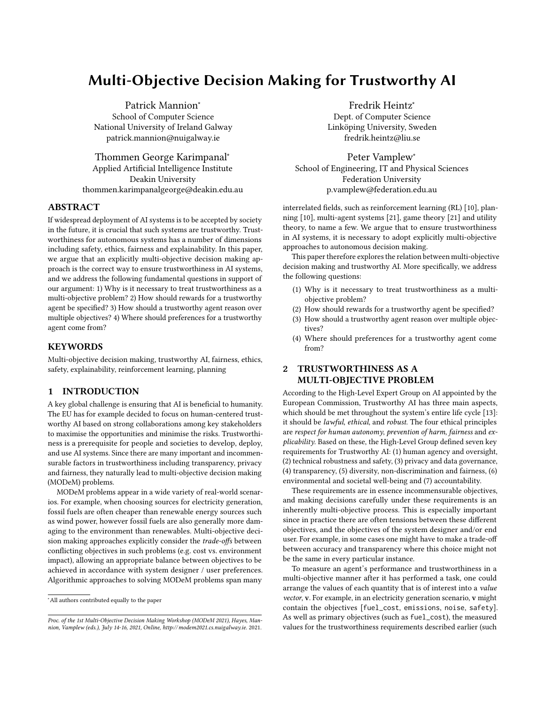# Multi-Objective Decision Making for Trustworthy AI

Patrick Mannion<sup>∗</sup> School of Computer Science National University of Ireland Galway patrick.mannion@nuigalway.ie

Thommen George Karimpanal<sup>∗</sup> Applied Artificial Intelligence Institute Deakin University thommen.karimpanalgeorge@deakin.edu.au

## ABSTRACT

If widespread deployment of AI systems is to be accepted by society in the future, it is crucial that such systems are trustworthy. Trustworthiness for autonomous systems has a number of dimensions including safety, ethics, fairness and explainability. In this paper, we argue that an explicitly multi-objective decision making approach is the correct way to ensure trustworthiness in AI systems, and we address the following fundamental questions in support of our argument: 1) Why is it necessary to treat trustworthiness as a multi-objective problem? 2) How should rewards for a trustworthy agent be specified? 3) How should a trustworthy agent reason over multiple objectives? 4) Where should preferences for a trustworthy agent come from?

## **KEYWORDS**

Multi-objective decision making, trustworthy AI, fairness, ethics, safety, explainability, reinforcement learning, planning

# 1 INTRODUCTION

A key global challenge is ensuring that AI is beneficial to humanity. The EU has for example decided to focus on human-centered trustworthy AI based on strong collaborations among key stakeholders to maximise the opportunities and minimise the risks. Trustworthiness is a prerequisite for people and societies to develop, deploy, and use AI systems. Since there are many important and incommensurable factors in trustworthiness including transparency, privacy and fairness, they naturally lead to multi-objective decision making (MODeM) problems.

MODeM problems appear in a wide variety of real-world scenarios. For example, when choosing sources for electricity generation, fossil fuels are often cheaper than renewable energy sources such as wind power, however fossil fuels are also generally more damaging to the environment than renewables. Multi-objective decision making approaches explicitly consider the trade-offs between conflicting objectives in such problems (e.g. cost vs. environment impact), allowing an appropriate balance between objectives to be achieved in accordance with system designer / user preferences. Algorithmic approaches to solving MODeM problems span many

Fredrik Heintz<sup>∗</sup> Dept. of Computer Science Linköping University, Sweden fredrik.heintz@liu.se

Peter Vamplew<sup>∗</sup> School of Engineering, IT and Physical Sciences Federation University p.vamplew@federation.edu.au

interrelated fields, such as reinforcement learning (RL) [\[10\]](#page-4-0), planning [\[10\]](#page-4-0), multi-agent systems [\[21\]](#page-4-1), game theory [\[21\]](#page-4-1) and utility theory, to name a few. We argue that to ensure trustworthiness in AI systems, it is necessary to adopt explicitly multi-objective approaches to autonomous decision making.

This paper therefore explores the relation between multi-objective decision making and trustworthy AI. More specifically, we address the following questions:

- (1) Why is it necessary to treat trustworthiness as a multiobjective problem?
- (2) How should rewards for a trustworthy agent be specified?
- (3) How should a trustworthy agent reason over multiple objectives?
- (4) Where should preferences for a trustworthy agent come from?

## 2 TRUSTWORTHINESS AS A MULTI-OBJECTIVE PROBLEM

According to the High-Level Expert Group on AI appointed by the European Commission, Trustworthy AI has three main aspects, which should be met throughout the system's entire life cycle [\[13\]](#page-4-2): it should be lawful, ethical, and robust. The four ethical principles are respect for human autonomy, prevention of harm, fairness and explicability. Based on these, the High-Level Group defined seven key requirements for Trustworthy AI: (1) human agency and oversight, (2) technical robustness and safety, (3) privacy and data governance, (4) transparency, (5) diversity, non-discrimination and fairness, (6) environmental and societal well-being and (7) accountability.

These requirements are in essence incommensurable objectives, and making decisions carefully under these requirements is an inherently multi-objective process. This is especially important since in practice there are often tensions between these different objectives, and the objectives of the system designer and/or end user. For example, in some cases one might have to make a trade-off between accuracy and transparency where this choice might not be the same in every particular instance.

To measure an agent's performance and trustworthiness in a multi-objective manner after it has performed a task, one could arrange the values of each quantity that is of interest into a value vector, v. For example, in an electricity generation scenario, v might contain the objectives [fuel\_cost, emissions, noise, safety]. As well as primary objectives (such as fuel\_cost), the measured values for the trustworthiness requirements described earlier (such

<sup>∗</sup>All authors contributed equally to the paper

Proc. of the 1st Multi-Objective Decision Making Workshop (MODeM 2021), Hayes, Mannion, Vamplew (eds.), July 14-16, 2021, Online,<http://modem2021.cs.nuigalway.ie>. 2021.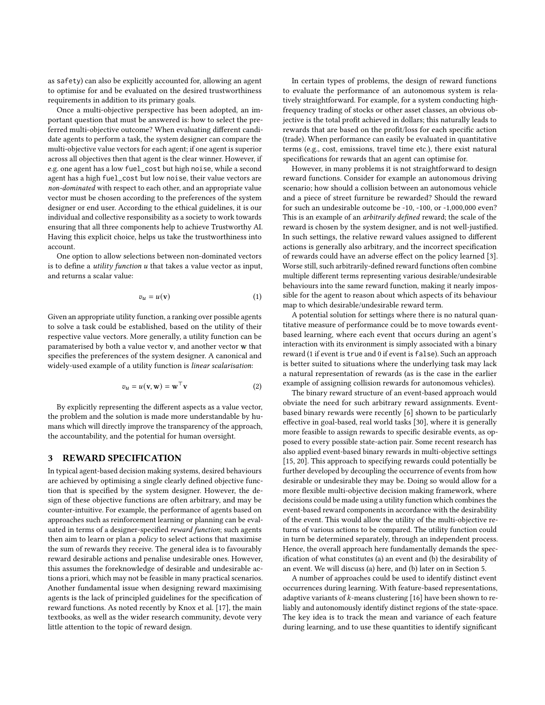as safety) can also be explicitly accounted for, allowing an agent to optimise for and be evaluated on the desired trustworthiness requirements in addition to its primary goals.

Once a multi-objective perspective has been adopted, an important question that must be answered is: how to select the preferred multi-objective outcome? When evaluating different candidate agents to perform a task, the system designer can compare the multi-objective value vectors for each agent; if one agent is superior across all objectives then that agent is the clear winner. However, if e.g. one agent has a low fuel\_cost but high noise, while a second agent has a high fuel\_cost but low noise, their value vectors are non-dominated with respect to each other, and an appropriate value vector must be chosen according to the preferences of the system designer or end user. According to the ethical guidelines, it is our individual and collective responsibility as a society to work towards ensuring that all three components help to achieve Trustworthy AI. Having this explicit choice, helps us take the trustworthiness into account.

One option to allow selections between non-dominated vectors is to define a *utility function*  $u$  that takes a value vector as input, and returns a scalar value:

$$
v_u = u(\mathbf{v})\tag{1}
$$

Given an appropriate utility function, a ranking over possible agents to solve a task could be established, based on the utility of their respective value vectors. More generally, a utility function can be paramaterised by both a value vector v, and another vector w that specifies the preferences of the system designer. A canonical and widely-used example of a utility function is linear scalarisation:

$$
v_u = u(\mathbf{v}, \mathbf{w}) = \mathbf{w}^\top \mathbf{v}
$$
 (2)

By explicitly representing the different aspects as a value vector, the problem and the solution is made more understandable by humans which will directly improve the transparency of the approach, the accountability, and the potential for human oversight.

#### <span id="page-1-0"></span>3 REWARD SPECIFICATION

In typical agent-based decision making systems, desired behaviours are achieved by optimising a single clearly defined objective function that is specified by the system designer. However, the design of these objective functions are often arbitrary, and may be counter-intuitive. For example, the performance of agents based on approaches such as reinforcement learning or planning can be evaluated in terms of a designer-specified reward function; such agents then aim to learn or plan a policy to select actions that maximise the sum of rewards they receive. The general idea is to favourably reward desirable actions and penalise undesirable ones. However, this assumes the foreknowledge of desirable and undesirable actions a priori, which may not be feasible in many practical scenarios. Another fundamental issue when designing reward maximising agents is the lack of principled guidelines for the specification of reward functions. As noted recently by Knox et al. [\[17\]](#page-4-3), the main textbooks, as well as the wider research community, devote very little attention to the topic of reward design.

In certain types of problems, the design of reward functions to evaluate the performance of an autonomous system is relatively straightforward. For example, for a system conducting highfrequency trading of stocks or other asset classes, an obvious objective is the total profit achieved in dollars; this naturally leads to rewards that are based on the profit/loss for each specific action (trade). When performance can easily be evaluated in quantitative terms (e.g., cost, emissions, travel time etc.), there exist natural specifications for rewards that an agent can optimise for.

However, in many problems it is not straightforward to design reward functions. Consider for example an autonomous driving scenario; how should a collision between an autonomous vehicle and a piece of street furniture be rewarded? Should the reward for such an undesirable outcome be -10, -100, or -1,000,000 even? This is an example of an arbitrarily defined reward; the scale of the reward is chosen by the system designer, and is not well-justified. In such settings, the relative reward values assigned to different actions is generally also arbitrary, and the incorrect specification of rewards could have an adverse effect on the policy learned [\[3\]](#page-3-0). Worse still, such arbitrarily-defined reward functions often combine multiple different terms representing various desirable/undesirable behaviours into the same reward function, making it nearly impossible for the agent to reason about which aspects of its behaviour map to which desirable/undesirable reward term.

A potential solution for settings where there is no natural quantitative measure of performance could be to move towards eventbased learning, where each event that occurs during an agent's interaction with its environment is simply associated with a binary reward (1 if event is true and 0 if event is false). Such an approach is better suited to situations where the underlying task may lack a natural representation of rewards (as is the case in the earlier example of assigning collision rewards for autonomous vehicles).

The binary reward structure of an event-based approach would obviate the need for such arbitrary reward assignments. Eventbased binary rewards were recently [\[6\]](#page-4-4) shown to be particularly effective in goal-based, real world tasks [\[30\]](#page-4-5), where it is generally more feasible to assign rewards to specific desirable events, as opposed to every possible state-action pair. Some recent research has also applied event-based binary rewards in multi-objective settings [\[15,](#page-4-6) [20\]](#page-4-7). This approach to specifying rewards could potentially be further developed by decoupling the occurrence of events from how desirable or undesirable they may be. Doing so would allow for a more flexible multi-objective decision making framework, where decisions could be made using a utility function which combines the event-based reward components in accordance with the desirability of the event. This would allow the utility of the multi-objective returns of various actions to be compared. The utility function could in turn be determined separately, through an independent process. Hence, the overall approach here fundamentally demands the specification of what constitutes (a) an event and (b) the desirability of an event. We will discuss (a) here, and (b) later on in Section [5.](#page-3-1)

A number of approaches could be used to identify distinct event occurrences during learning. With feature-based representations, adaptive variants of  $k$ -means clustering [\[16\]](#page-4-8) have been shown to reliably and autonomously identify distinct regions of the state-space. The key idea is to track the mean and variance of each feature during learning, and to use these quantities to identify significant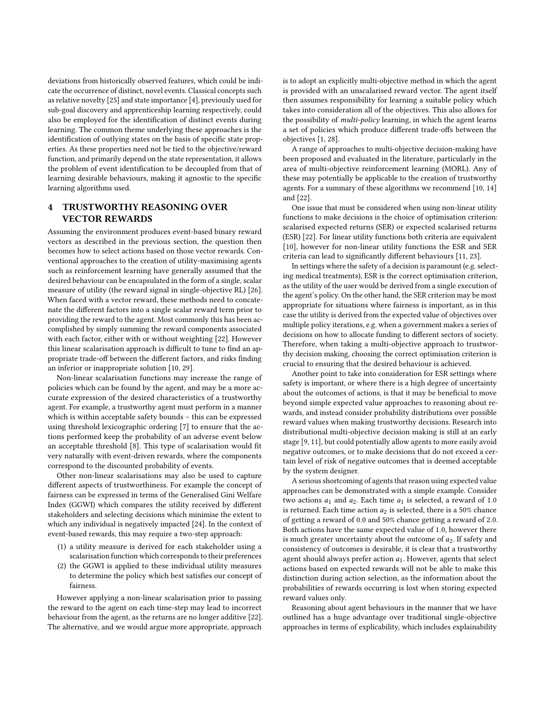deviations from historically observed features, which could be indicate the occurrence of distinct, novel events. Classical concepts such as relative novelty [\[25\]](#page-4-9) and state importance [\[4\]](#page-3-2), previously used for sub-goal discovery and apprenticeship learning respectively, could also be employed for the identification of distinct events during learning. The common theme underlying these approaches is the identification of outlying states on the basis of specific state properties. As these properties need not be tied to the objective/reward function, and primarily depend on the state representation, it allows the problem of event identification to be decoupled from that of learning desirable behaviours, making it agnostic to the specific learning algorithms used.

## <span id="page-2-0"></span>4 TRUSTWORTHY REASONING OVER VECTOR REWARDS

Assuming the environment produces event-based binary reward vectors as described in the previous section, the question then becomes how to select actions based on those vector rewards. Conventional approaches to the creation of utility-maximising agents such as reinforcement learning have generally assumed that the desired behaviour can be encapsulated in the form of a single, scalar measure of utility (the reward signal in single-objective RL) [\[26\]](#page-4-10). When faced with a vector reward, these methods need to concatenate the different factors into a single scalar reward term prior to providing the reward to the agent. Most commonly this has been accomplished by simply summing the reward components associated with each factor, either with or without weighting [\[22\]](#page-4-11). However this linear scalarisation approach is difficult to tune to find an appropriate trade-off between the different factors, and risks finding an inferior or inappropriate solution [\[10,](#page-4-0) [29\]](#page-4-12).

Non-linear scalarisation functions may increase the range of policies which can be found by the agent, and may be a more accurate expression of the desired characteristics of a trustworthy agent. For example, a trustworthy agent must perform in a manner which is within acceptable safety bounds – this can be expressed using threshold lexicographic ordering [\[7\]](#page-4-13) to ensure that the actions performed keep the probability of an adverse event below an acceptable threshold [\[8\]](#page-4-14). This type of scalarisation would fit very naturally with event-driven rewards, where the components correspond to the discounted probability of events.

Other non-linear scalarisations may also be used to capture different aspects of trustworthiness. For example the concept of fairness can be expressed in terms of the Generalised Gini Welfare Index (GGWI) which compares the utility received by different stakeholders and selecting decisions which minimise the extent to which any individual is negatively impacted [\[24\]](#page-4-15). In the context of event-based rewards, this may require a two-step approach:

- (1) a utility measure is derived for each stakeholder using a scalarisation function which corresponds to their preferences
- (2) the GGWI is applied to these individual utility measures to determine the policy which best satisfies our concept of fairness.

However applying a non-linear scalarisation prior to passing the reward to the agent on each time-step may lead to incorrect behaviour from the agent, as the returns are no longer additive [\[22\]](#page-4-11). The alternative, and we would argue more appropriate, approach is to adopt an explicitly multi-objective method in which the agent is provided with an unscalarised reward vector. The agent itself then assumes responsibility for learning a suitable policy which takes into consideration all of the objectives. This also allows for the possibility of multi-policy learning, in which the agent learns a set of policies which produce different trade-offs between the objectives [\[1,](#page-3-3) [28\]](#page-4-16).

A range of approaches to multi-objective decision-making have been proposed and evaluated in the literature, particularly in the area of multi-objective reinforcement learning (MORL). Any of these may potentially be applicable to the creation of trustworthy agents. For a summary of these algorithms we recommend [\[10,](#page-4-0) [14\]](#page-4-17) and [\[22\]](#page-4-11).

One issue that must be considered when using non-linear utility functions to make decisions is the choice of optimisation criterion: scalarised expected returns (SER) or expected scalarised returns (ESR) [\[22\]](#page-4-11). For linear utility functions both criteria are equivalent [\[10\]](#page-4-0), however for non-linear utility functions the ESR and SER criteria can lead to significantly different behaviours [\[11,](#page-4-18) [23\]](#page-4-19).

In settings where the safety of a decision is paramount (e.g. selecting medical treatments), ESR is the correct optimisation criterion, as the utility of the user would be derived from a single execution of the agent's policy. On the other hand, the SER criterion may be most appropriate for situations where fairness is important, as in this case the utility is derived from the expected value of objectives over multiple policy iterations, e.g. when a government makes a series of decisions on how to allocate funding to different sectors of society. Therefore, when taking a multi-objective approach to trustworthy decision making, choosing the correct optimisation criterion is crucial to ensuring that the desired behaviour is achieved.

Another point to take into consideration for ESR settings where safety is important, or where there is a high degree of uncertainty about the outcomes of actions, is that it may be beneficial to move beyond simple expected value approaches to reasoning about rewards, and instead consider probability distributions over possible reward values when making trustworthy decisions. Research into distributional multi-objective decision making is still at an early stage [\[9,](#page-4-20) [11\]](#page-4-18), but could potentially allow agents to more easily avoid negative outcomes, or to make decisions that do not exceed a certain level of risk of negative outcomes that is deemed acceptable by the system designer.

A serious shortcoming of agents that reason using expected value approaches can be demonstrated with a simple example. Consider two actions  $a_1$  and  $a_2$ . Each time  $a_1$  is selected, a reward of 1.0 is returned. Each time action  $a_2$  is selected, there is a 50% chance of getting a reward of 0.0 and 50% chance getting a reward of 2.0. Both actions have the same expected value of 1.0, however there is much greater uncertainty about the outcome of  $a_2$ . If safety and consistency of outcomes is desirable, it is clear that a trustworthy agent should always prefer action  $a_1$ . However, agents that select actions based on expected rewards will not be able to make this distinction during action selection, as the information about the probabilities of rewards occurring is lost when storing expected reward values only.

Reasoning about agent behaviours in the manner that we have outlined has a huge advantage over traditional single-objective approaches in terms of explicability, which includes explainability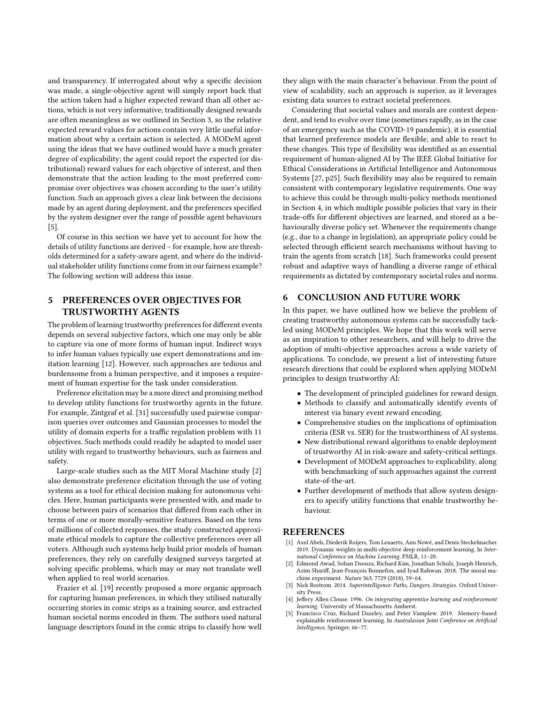and transparency. If interrogated about why a specific decision was made, a single-objective agent will simply report back that the action taken had a higher expected reward than all other actions, which is not very informative; traditionally designed rewards are often meaningless as we outlined in Section [3,](#page-1-0) so the relative expected reward values for actions contain very little useful information about why a certain action is selected. A MODeM agent using the ideas that we have outlined would have a much greater degree of explicability; the agent could report the expected (or distributional) reward values for each objective of interest, and then demonstrate that the action leading to the most preferred compromise over objectives was chosen according to the user's utility function. Such an approach gives a clear link between the decisions made by an agent during deployment, and the preferences specified by the system designer over the range of possible agent behaviours [\[5\]](#page-3-4).

Of course in this section we have yet to account for how the details of utility functions are derived – for example, how are thresholds determined for a safety-aware agent, and where do the individual stakeholder utility functions come from in our fairness example? The following section will address this issue.

# <span id="page-3-1"></span>5 PREFERENCES OVER OBJECTIVES FOR TRUSTWORTHY AGENTS

The problem of learning trustworthy preferences for different events depends on several subjective factors, which one may only be able to capture via one of more forms of human input. Indirect ways to infer human values typically use expert demonstrations and imitation learning [\[12\]](#page-4-21). However, such approaches are tedious and burdensome from a human perspective, and it imposes a requirement of human expertise for the task under consideration.

Preference elicitation may be a more direct and promising method to develop utility functions for trustworthy agents in the future. For example, Zintgraf et al. [\[31\]](#page-4-22) successfully used pairwise comparison queries over outcomes and Gaussian processes to model the utility of domain experts for a traffic regulation problem with 11 objectives. Such methods could readily be adapted to model user utility with regard to trustworthy behaviours, such as fairness and safety.

Large-scale studies such as the MIT Moral Machine study [\[2\]](#page-3-5) also demonstrate preference elicitation through the use of voting systems as a tool for ethical decision making for autonomous vehicles. Here, human participants were presented with, and made to choose between pairs of scenarios that differed from each other in terms of one or more morally-sensitive features. Based on the tens of millions of collected responses, the study constructed approximate ethical models to capture the collective preferences over all voters. Although such systems help build prior models of human preferences, they rely on carefully designed surveys targeted at solving specific problems, which may or may not translate well when applied to real world scenarios.

Frazier et al. [\[19\]](#page-4-23) recently proposed a more organic approach for capturing human preferences, in which they utilised naturally occurring stories in comic strips as a training source, and extracted human societal norms encoded in them. The authors used natural language descriptors found in the comic strips to classify how well they align with the main character's behaviour. From the point of view of scalability, such an approach is superior, as it leverages existing data sources to extract societal preferences.

Considering that societal values and morals are context dependent, and tend to evolve over time (sometimes rapidly, as in the case of an emergency such as the COVID-19 pandemic), it is essential that learned preference models are flexible, and able to react to these changes. This type of flexibility was identified as an essential requirement of human-aligned AI by The IEEE Global Initiative for Ethical Considerations in Artificial Intelligence and Autonomous Systems [\[27,](#page-4-24) p25]. Such flexibility may also be required to remain consistent with contemporary legislative requirements. One way to achieve this could be through multi-policy methods mentioned in Section [4,](#page-2-0) in which multiple possible policies that vary in their trade-offs for different objectives are learned, and stored as a behaviourally diverse policy set. Whenever the requirements change (e.g., due to a change in legislation), an appropriate policy could be selected through efficient search mechanisms without having to train the agents from scratch [\[18\]](#page-4-25). Such frameworks could present robust and adaptive ways of handling a diverse range of ethical requirements as dictated by contemporary societal rules and norms.

## 6 CONCLUSION AND FUTURE WORK

In this paper, we have outlined how we believe the problem of creating trustworthy autonomous systems can be successfully tackled using MODeM principles. We hope that this work will serve as an inspiration to other researchers, and will help to drive the adoption of multi-objective approaches across a wide variety of applications. To conclude, we present a list of interesting future research directions that could be explored when applying MODeM principles to design trustworthy AI:

- The development of principled guidelines for reward design.
- Methods to classify and automatically identify events of interest via binary event reward encoding.
- Comprehensive studies on the implications of optimisation criteria (ESR vs. SER) for the trustworthiness of AI systems.
- New distributional reward algorithms to enable deployment of trustworthy AI in risk-aware and safety-critical settings.
- Development of MODeM approaches to explicability, along with benchmarking of such approaches against the current state-of-the-art.
- Further development of methods that allow system designers to specify utility functions that enable trustworthy behaviour.

#### **REFERENCES**

- <span id="page-3-3"></span>[1] Axel Abels, Diederik Roijers, Tom Lenaerts, Ann Nowé, and Denis Steckelmacher. 2019. Dynamic weights in multi-objective deep reinforcement learning. In International Conference on Machine Learning. PMLR, 11–20.
- <span id="page-3-5"></span>Edmond Awad, Sohan Dsouza, Richard Kim, Jonathan Schulz, Joseph Henrich, Azim Shariff, Jean-François Bonnefon, and Iyad Rahwan. 2018. The moral machine experiment. Nature 563, 7729 (2018), 59–64.
- <span id="page-3-0"></span>[3] Nick Bostrom. 2014. Superintelligence: Paths, Dangers, Strategies. Oxford University Press.
- <span id="page-3-2"></span>[4] Jeffery Allen Clouse. 1996. On integrating apprentice learning and reinforcement learning. University of Massachusetts Amherst.
- <span id="page-3-4"></span>[5] Francisco Cruz, Richard Dazeley, and Peter Vamplew. 2019. Memory-based explainable reinforcement learning. In Australasian Joint Conference on Artificial Intelligence. Springer, 66–77.